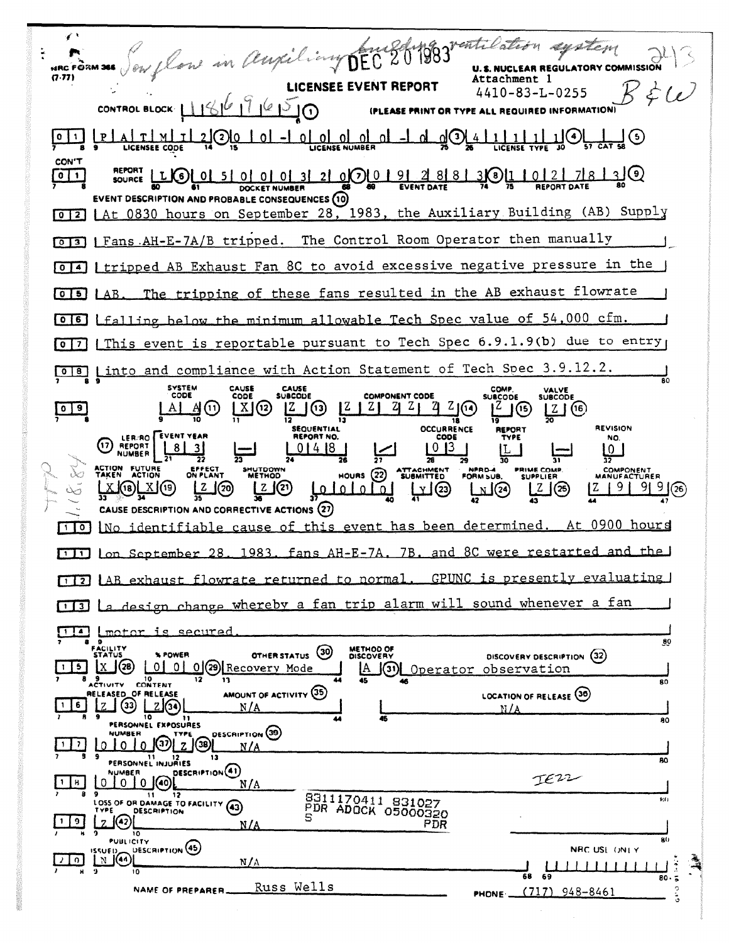flow in Auxiliany DEC 201983 ventilation agatem √ t U.S. NUCLEAR REGULATORY COMMISSION **HRC FORM 366**  $(7.77)$ Attachment 1 **LICENSEE EVENT REPORT**  $B\in\omega$  $4410 - 83 - L - 0255$ CONTROL BLOCK  $1186776760$ (PLEASE PRINT OR TYPE ALL REQUIRED INFORMATIO  $101 - 0$  of  $01 - 0$  $\frac{1}{26}$   $\odot$ <u>ت)لہ</u> <u>t | m |</u>  $\mathbf{I}$ 21(2)10 <u>u</u> LICENSEE CODE CON'T **REPORT** SOURCE LIO 01 51 01 01 01 21 0001 91 91  $30110278130$  $2881$  $\frac{1}{2}$ DOCKET NUMBER EVENT DESCRIPTION AND PROBABLE CONSEQUENCES (10) [0]2 LAt 0830 hours on September 28, 1983, the Auxiliary Building (AB) Supply [6]3] | Fans AH-E-7A/B tripped. The Control Room Operator then manually [0]4] I tripped AB Exhaust Fan 8C to avoid excessive negative pressure in the [0] 5] LAB. The tripping of these fans resulted in the AB exhaust flowrate [0]6] Lfalling below the minimum allowable Tech Spec value of 54,000 cfm. This event is reportable pursuant to Tech Spec 6.9.1.9(b) due to entry  $\sqrt{0}$   $\sqrt{7}$ [018] Linto and compliance with Action Statement of Tech Spec 3.9.12.2. SYSTEM<br>CODE CAUSE<br>SUBCODE CAUSE COMP. VALVE<br>SUBCODE CODE **COMPONENT CODE SUBCODE**  $\frac{Z}{20}$  (16)  $2021$  $Z_1 Z_1 Z_2$  $\mathbb{Z}$  $\circledcirc$  $X(2)$  $1^2$   $1$   $\circledcirc$  $\sqrt{9}$  $A(1)$ **Z** 1 ā  $\overline{\mathbf{12}}$ **SEQUENTIAL OCCURRENCE REVISION REPORT** LER/RO EVENT YEAR **REPORT NO.** CODE NO. (17) REPORT  $0<sup>13</sup>$  $01418$ ம 28 **FUTURE**<br>ACTION ACTION<br>TAKEN **PRIME COMP.**<br>SUPPLIER SHUTDOWN<br>METHOD ATTACHMENT NPRD-4<br>FORM SUB.  $\sim$ COMPONENT<br>MANUFACTURER HOURS  $(22)$  $\frac{1}{36}$ புக [2]  $L^{Z}$ (25)  $[2 \ 9 \ 9] \ 9]$  (26) <u>Z</u> (20) لمتعلملها  $(18)$  $X(19)$  $\infty$ CAUSE DESCRIPTION AND CORRECTIVE ACTIONS (27) At 0900 hours cause of this event has been determined.  $\Box$ identifiable l No fans AH-E-7A. 7B. and 8C were restarted and the  $1983.$ 111 Lon September 28. GPUNC is presently evaluating [1] AB exhaust flowrate returned to normal. [1] La design change whereby a fan trip alarm will sound whenever a fan Ia *emotor is secured*  $90$ FACILITY<br>STATUS METHOD OF OTHER STATUS (30) % POWER DISCOVERY DESCRIPTION (32)  $\boxed{5}$   $\boxed{X}$   $\boxed{20}$   $\boxed{0}$   $\boxed{0}$   $\boxed{0}$   $\boxed{29}$   $\boxed{Recovery Model}$ A GD Operator observation **9** 10<br>ACTIVITY CONTENT  $\mathbf{e}$ AMOUNT OF ACTIVITY (35) RELEASED\_OF RELEASE LOCATION OF RELEASE (36) 6 \_| (33) <u>ZG</u>  $M/I$ PERSONNEL EXPOSURES 80 0 0 0 0 0 2 30 DESCRIPTION (39)  $\overline{117}$  $N/A$ PERSONNEL INJURIES RΩ. DESCRIPTION(41) **WUMAFR** TEZZ  $\lceil 1 \rceil$ 8 |  $N/A$ 8311170411 831027  $\overline{\mathbf{1}}$  $\overline{\mathbf{12}}$ 9<br>LOSS OF OR DAMAGE TO FACILITY (43) PDR ADOCR 05000320 DESCRIPTION  $\left| \widehat{A2} \right|$  $\vert$  9  $\vert$ PDR  $N/A$ **PUBLICITY** DESCRIPTION (45) NRC USL ONLY **יים וא**  $N(0)$ ا ∩ ا  $N/A$ لىلل <u> 111111</u>  $80.5$ Russ Wells NAME OF PREPARER.  $(717)$  948-8461 PHONE \_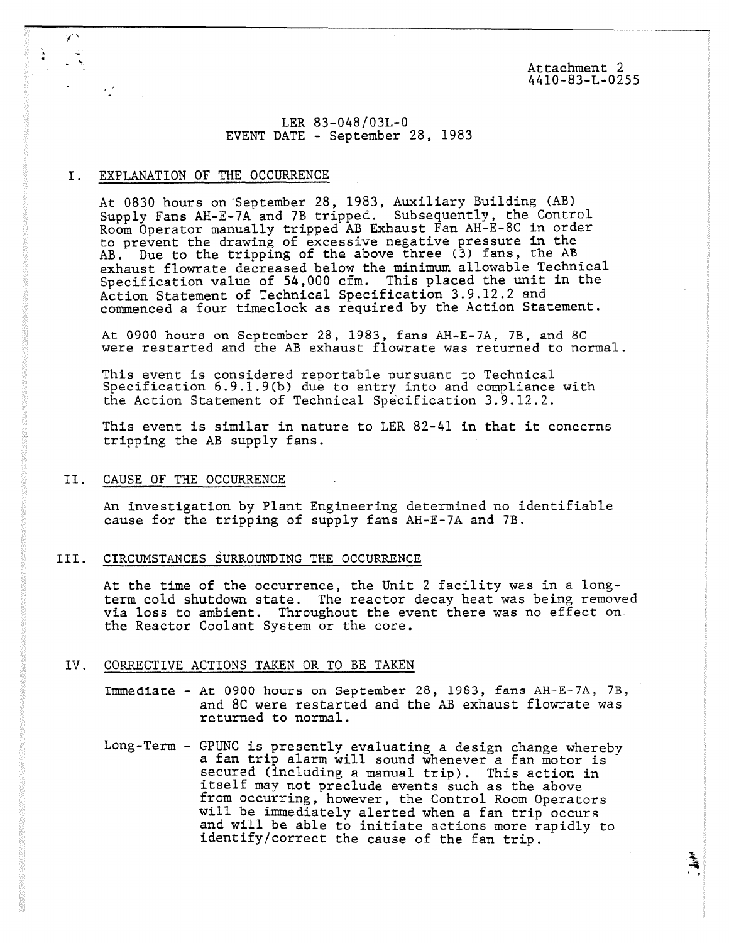Attachment 2 4410-83-L-0255

â,

# LER 83-048/03L-0 EVENT DATE - September 28, 1983

## I. EXPLANATION OF THE OCCURRENCE

 $\mathcal{F}_{\mathbf{a}}^{(0)}$  .

At 0830 hours on September 28, 1983, Auxiliary Building (AB) Supply Fans AH-E-7A and 7B tripped. Subsequently, the Control Room Operator manually tripped AB Exhaust Fan AH-E-8C in order to prevent the drawing of excessive negative pressure in the AB. Due to the tripping of the above three (3) fans, the AB exhaust flowrate decreased below the minimum allowable Technical Specification value of 54,000 cfm. This placed the unit in the Action Statement of Technical Specification 3.9.12.2 and commenced a four timeclock as required by the Action Statement.

At 0900 hours on September 28, 1983, fans AH-E-7A, 73, and SC were restarted and the AB exhaust flowrate was returned to normal.

This event is considered reportable pursuant to Technical Specification 6.9.1.9(b) due to entry into and compliance with the Action Statement of Technical Specification 3.9.12.2.

This event is similar in nature to LER 82-41 in that it concerns tripping the AB supply fans.

## II. CAUSE OF THE OCCURRENCE

An investigation by Plant Engineering determined no identifiable cause for the tripping of supply fans AH-E-7A and 7B.

# III. CIRCUMSTANCES SURROUNDING THE OCCURRENCE

At the time of the occurrence, the Unit 2 facility was in a longterm cold shutdown state. The reactor decay heat was being removed via loss to ambient. Throughout the event there was no effect on the Reactor Coolant System or the core.

# IV. CORRECTIVE ACTIONS TAKEN OR TO BE TAKEN

- Immediate At 0900 hours on September 28, 1983, fans AH-E-7A, 7B, and 8C were restarted and the AB exhaust flowrate was returned to normal.
- Long-Term GPUNC is presently evaluating a design change whereby a fan trip alarm will sound whenever a fan motor is secured (including a manual trip). This action in itself may not preclude events such as the above from occurring, however, the Control Room Operators will be immediately alerted when a fan trip occurs and will be able to initiate actions more rapidly to identify/correct the cause of the fan trip.